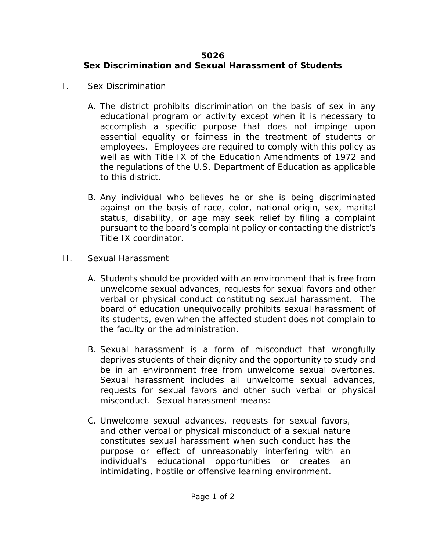## **5026 Sex Discrimination and Sexual Harassment of Students**

- I. Sex Discrimination
	- A. The district prohibits discrimination on the basis of sex in any educational program or activity except when it is necessary to accomplish a specific purpose that does not impinge upon essential equality or fairness in the treatment of students or employees. Employees are required to comply with this policy as well as with Title IX of the Education Amendments of 1972 and the regulations of the U.S. Department of Education as applicable to this district.
	- B. Any individual who believes he or she is being discriminated against on the basis of race, color, national origin, sex, marital status, disability, or age may seek relief by filing a complaint pursuant to the board's complaint policy or contacting the district's Title IX coordinator.
- II. Sexual Harassment
	- A. Students should be provided with an environment that is free from unwelcome sexual advances, requests for sexual favors and other verbal or physical conduct constituting sexual harassment. The board of education unequivocally prohibits sexual harassment of its students, even when the affected student does not complain to the faculty or the administration.
	- B. Sexual harassment is a form of misconduct that wrongfully deprives students of their dignity and the opportunity to study and be in an environment free from unwelcome sexual overtones. Sexual harassment includes all unwelcome sexual advances, requests for sexual favors and other such verbal or physical misconduct. Sexual harassment means:
	- C. Unwelcome sexual advances, requests for sexual favors, and other verbal or physical misconduct of a sexual nature constitutes sexual harassment when such conduct has the purpose or effect of unreasonably interfering with an individual's educational opportunities or creates an intimidating, hostile or offensive learning environment.